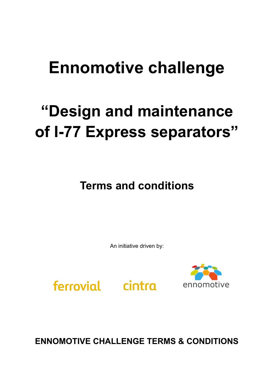## **Ennomotive challenge**

# **"Design and maintenance of I-77 Express separators"**

**Terms and conditions**

An initiative driven by:

ferrovial cintra



**ENNOMOTIVE CHALLENGE TERMS & CONDITIONS**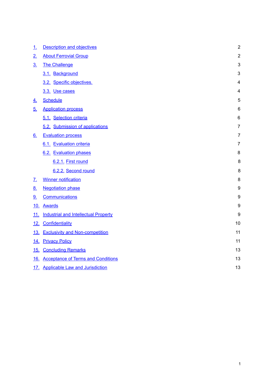| <u>1.</u>         | <b>Description and objectives</b>           | $\overline{2}$   |
|-------------------|---------------------------------------------|------------------|
| 2.                | <b>About Ferrovial Group</b>                | $\overline{2}$   |
| $\underline{3}$ . | <b>The Challenge</b>                        | 3                |
|                   | 3.1. Background                             | 3                |
|                   | 3.2. Specific objectives.                   | $\overline{4}$   |
|                   | 3.3. Use cases                              | 4                |
| 4.                | <b>Schedule</b>                             | 5                |
| <u>5.</u>         | <b>Application process</b>                  | $6\phantom{1}6$  |
|                   | 5.1. Selection criteria                     | 6                |
|                   | 5.2. Submission of applications             | $\overline{7}$   |
| $\underline{6}$ . | <b>Evaluation process</b>                   | $\overline{7}$   |
|                   | 6.1. Evaluation criteria                    | $\overline{7}$   |
|                   | 6.2. Evaluation phases                      | 8                |
|                   | 6.2.1. First round                          | 8                |
|                   | 6.2.2. Second round                         | 8                |
| <u>z.</u>         | <b>Winner notification</b>                  | 8                |
| 8.                | <b>Negotiation phase</b>                    | $\boldsymbol{9}$ |
| 9.                | Communications                              | 9                |
| <u>10.</u>        | <b>Awards</b>                               | $\boldsymbol{9}$ |
| <u>11.</u>        | <b>Industrial and Intellectual Property</b> | 9                |
| <u>12.</u>        | Confidentiality                             | 10               |
| 13.               | <b>Exclusivity and Non-competition</b>      | 11               |
| 14.               | <b>Privacy Policy</b>                       | 11               |
| <u>15.</u>        | <b>Concluding Remarks</b>                   | 13               |
| 16.               | <b>Acceptance of Terms and Conditions</b>   | 13               |
|                   | 17. Applicable Law and Jurisdiction         | 13               |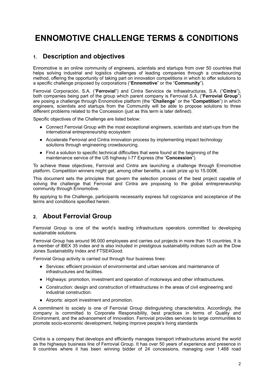## **ENNOMOTIVE CHALLENGE TERMS & CONDITIONS**

## <span id="page-2-0"></span>**1. Description and objectives**

Ennomotive is an online community of engineers, scientists and startups from over 50 countries that helps solving industrial and logistics challenges of leading companies through a crowdsourcing method, offering the opportunity of taking part on innovation competitions in which to offer solutions to a specific challenge proposed by corporations ("**Ennomotive**" or the "**Community**").

Ferrovial Corporación, S.A. ("**Ferrovial**") and Cintra Servicios de Infraestructuras, S.A. ("**Cintra**"), both companies being part of the group which parent company is Ferrovial S.A. ("**Ferrovial Group**") are posing a challenge through Ennomotive platform (the "**Challenge**" or the "**Competition**") in which engineers, scientists and startups from the Community will be able to propose solutions to three different problems related to the Concession (just as this term is later defined).

Specific objectives of the Challenge are listed below:

- Connect Ferrovial Group with the most exceptional engineers, scientists and start-ups from the international entrepreneurship ecosystem
- ! Accelerate Ferrovial and Cintra innovation process by implementing impact technology solutions through engineering crowdsourcing.
- ! Find a solution to specific technical difficulties that were found at the beginning of the maintenance service of the US highway I-77 Express (the "**Concession**").

To achieve these objectives, Ferrovial and Cintra are launching a challenge through Ennomotive platform. Competition winners might get, among other benefits, a cash prize up to 15.000€.

This document sets the principles that govern the selection process of the best project capable of solving the challenge that Ferrovial and Cintra are proposing to the global entrepreneurship community through Ennomotive.

By applying to the Challenge, participants necessarily express full cognizance and acceptance of the terms and conditions specified herein.

## <span id="page-2-1"></span>**2. About Ferrovial Group**

Ferrovial Group is one of the world's leading infrastructure operators committed to developing sustainable solutions.

Ferrovial Group has around 96.000 employees and carries out projects in more than 15 countries. It is a member of IBEX 35 index and is also included in prestigious sustainability indices such as the Dow Jones Sustainability Index and FTSE4Good.

Ferrovial Group activity is carried out through four business lines:

- ! Services: efficient provision of environmental and urban services and maintenance of infrastructures and facilities.
- ! Highways: promotion, investment and operation of motorways and other infrastructures.
- ! Construction: design and construction of infrastructures in the areas of civil engineering and industrial construction.
- Airports: airport investment and promotion.

A commitment to society is one of Ferrovial Group distinguishing characteristics. Accordingly, the company is committed to Corporate Responsibility, best practices in terms of Quality and Environment, and the advancement of Innovation. Ferrovial provides services to large communities to promote socio-economic development, helping improve people's living standards

Cintra is a company that develops and efficiently manages transport infrastructures around the world as the highways business line of Ferrovial Group. It has over 50 years of experience and presence in 9 countries where it has been winning bidder of 24 concessions, managing over 1.468 road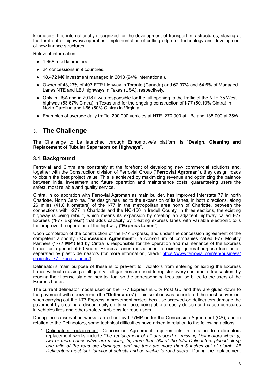kilometers. It is internationally recognized for the development of transport infrastructures, staying at the forefront of highways operation, implementation of cutting-edge toll technology and development of new finance structures.

Relevant information:

- 1.468 road kilometers.
- 24 concessions in 9 countries.
- ! 18.472 M€ investment managed in 2018 (94% international).
- ! Owner of 43,23% of 407 ETR highway in Toronto (Canada) and 62,97% and 54,6% of Managed Lanes NTE and LBJ highways in Texas (USA), respectively.
- Only in USA and in 2018 it was responsible for the full opening to the traffic of the NTE 35 West highway (53,67% Cintra) in Texas and for the ongoing construction of I-77 (50,10% Cintra) in North Carolina and I-66 (50% Cintra) in Virginia.
- ! Examples of average daily traffic: 200.000 vehicles at NTE, 270.000 at LBJ and 135.000 at 35W.

## <span id="page-3-0"></span>**3. The Challenge**

The Challenge to be launched through Ennomotive's platform is "**Design, Cleaning and Replacement of Tubular Separators on Highways**".

#### <span id="page-3-1"></span>**3.1. Background**

Ferrovial and Cintra are constantly at the forefront of developing new commercial solutions and, together with the Construction division of Ferrovial Group ("**Ferrovial Agroman**"), they design roads to obtain the best project value. This is achieved by maximizing revenue and optimizing the balance between initial investment and future operation and maintenance costs, guaranteeing users the safest, most reliable and quality service.

Cintra, in collaboration with Ferrovial Agroman as main builder, has improved Interstate 77 in north Charlotte, North Carolina. The design has led to the expansion of its lanes, in both directions, along 26 miles (41.8 kilometers) of the I-77 in the metropolitan area north of Charlotte, between the connections with I-277 in Charlotte and the NC-150 in Iredell County. In three sections, the existing highway is being rebuilt, which means its expansion by creating an adjacent highway called I-77 Express ("I-77 Express") that adds capacity by creating express lanes with variable electronic tolls that improve the operation of the highway ("**Express Lanes**").

Upon completion of the construction of the I-77 Express, and under the concession agreement of the competent authority ("**Concession Agreement**"), a consortium of companies called I-77 Mobility Partners ("**I-77 MP**") led by Cintra is responsible for the operation and maintenance of the Express Lanes for a period of 50 years. Express Lanes run adjacent to existing general-purpose free lanes, separated by plastic delineators (for more information, check: [https://www.ferrovial.com/en/business/](https://www.ferrovial.com/en/business/projects/i-77-express-lanes/) [projects/i-77-express-lanes/\)](https://www.ferrovial.com/en/business/projects/i-77-express-lanes/).

Delineator's main purpose of these is to prevent toll violators from entering or exiting the Express Lanes without crossing a toll gantry. Toll gantries are used to register every customer's transaction, by reading their license plate or their toll tag, so the corresponding fees can be billed to the users of the Express Lanes.

The current delineator model used on the I-77 Express is City Post GD and they are glued down to the pavement with epoxy resin (the "**Delineators**"). This solution was considered the most convenient when carrying out the I-77 Express improvement project because screwed-on delineators damage the pavement by creating a discontinuity on its surface, being able to easily detach and cause punctures in vehicles tires and others safety problems for road users.

During the conservation works carried out by I-77MP under the Concession Agreement (CA), and in relation to the Delineators, some technical difficulties have arisen in relation to the following actions:

1. Delineators replacement: Concession Agreement requirements in relation to delineators replacement works include *"the replacement of all damaged or missing Delineators when (i) two or more consecutive are missing, (ii) more than 5% of the total Delineators placed along one mile of the road are damaged, and (iii) they are more than 6 inches out of plumb. All Delineators must lack functional defects and be visible to road users."* During the replacement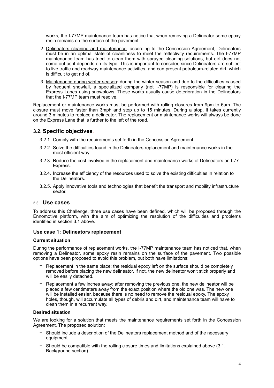works, the I-77MP maintenance team has notice that when removing a Delineator some epoxy resin remains on the surface of the pavement.

- 2. Delineators cleaning and maintenance: according to the Concession Agreement, Delineators must be in an optimal state of cleanliness to meet the reflectivity requirements. The I-77MP maintenance team has tried to clean them with sprayed cleaning solutions, but dirt does not come out as it depends on its type. This is important to consider, since Delineators are subject to live traffic and roadway maintenance activities, and can present petroleum-related dirt, which is difficult to get rid of.
- 3. Maintenance during winter season: during the winter season and due to the difficulties caused by frequent snowfall, a specialized company (not I-77MP) is responsible for clearing the Express Lanes using snowplows. These works usually cause deterioration in the Delineators that the I-77MP team must resolve.

Replacement or maintenance works must be performed with rolling closures from 9pm to 6am. The closure must move faster than 3mph and stop up to 15 minutes. During a stop, it takes currently around 3 minutes to replace a delineator. The replacement or maintenance works will always be done on the Express Lane that is further to the left of the road.

#### **3.2. Specific objectives**.

- <span id="page-4-0"></span>3.2.1. Comply with the requirements set forth in the Concession Agreement.
- 3.2.2. Solve the difficulties found in the Delineators replacement and maintenance works in the most efficient way.
- 3.2.3. Reduce the cost involved in the replacement and maintenance works of Delineators on I-77 Express.
- 3.2.4. Increase the efficiency of the resources used to solve the existing difficulties in relation to the Delineators.
- 3.2.5. Apply innovative tools and technologies that benefit the transport and mobility infrastructure sector.

#### <span id="page-4-1"></span>3.3. **Use cases**

To address this Challenge, three use cases have been defined, which will be proposed through the Ennomotive platform, with the aim of optimizing the resolution of the difficulties and problems identified in section 3.1 above.

#### **Use case 1: Delineators replacement**

#### **Current situation**

During the performance of replacement works, the I-77MP maintenance team has noticed that, when removing a Delineator, some epoxy resin remains on the surface of the pavement. Two possible options have been proposed to avoid this problem, but both have limitations:

- Replacement in the same place: the residual epoxy left on the surface should be completely removed before placing the new delineator. If not, the new delineator won't stick properly and will be easily detached.
- Replacement a few inches away: after removing the previous one, the new delineator will be placed a few centimeters away from the exact position where the old one was. The new one will be installed easier, because there is no need to remove the residual epoxy. The epoxy holes, though, will accumulate all types of debris and dirt, and maintenance team will have to clean them in a recurrent way.

#### **Desired situation**

We are looking for a solution that meets the maintenance requirements set forth in the Concession Agreement. The proposed solution:

- Should include a description of the Delineators replacement method and of the necessary equipment.
- − Should be compatible with the rolling closure times and limitations explained above (3.1. Background section).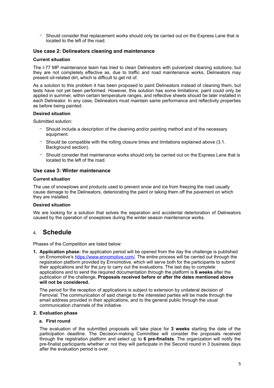Should consider that replacement works should only be carried out on the Express Lane that is located to the left of the road.

#### **Use case 2: Delineators cleaning and maintenance**

#### **Current situation**

The I-77 MP maintenance team has tried to clean Delineators with pulverized cleaning solutions, but they are not completely effective as, due to traffic and road maintenance works, Delineators may present oil-related dirt, which is difficult to get rid of.

As a solution to this problem it has been proposed to paint Delineators instead of cleaning them, but tests have not yet been performed. However, this solution has some limitations: paint could only be applied in summer, within certain temperature ranges, and reflective sheets should be later installed in each Delineator. In any case, Delineators must maintain same performance and reflectivity properties as before being painted.

#### **Desired situation**

Submitted solution:

- Should include a description of the cleaning and/or painting method and of the necessary equipment.
- − Should be compatible with the rolling closure times and limitations explained above (3.1. Background section).
- Should consider that maintenance works should only be carried out on the Express Lane that is located to the left of the road.

#### **Use case 3: Winter maintenance**

#### **Current situation**

The use of snowplows and products used to prevent snow and ice from freezing the road usually cause damage to the Delineators, deteriorating the paint or taking them off the pavement on which they are installed.

#### **Desired situation**

We are looking for a solution that solves the separation and accidental deterioration of Delineators caused by the operation of snowplows during the winter season maintenance works.

### <span id="page-5-0"></span>4. **Schedule**

Phases of the Competition are listed below:

**1. Application phase:** the application period will be opened from the day the challenge is published on Ennomotive's [https://www.ennomotive.com/.](https://www.ennomotive.com/road-delineator-maintenance/) The entire process will be carried out through the registration platform provided by Ennomotive, which will serve both for the participants to submit their applications and for the jury to carry out the evaluations. The last day to complete applications and to send the required documentation through the platform is **6 weeks** after the publication of the challenge**. Proposals received before or after the dates mentioned above will not be considered.** 

The period for the reception of applications is subject to extension by unilateral decision of Ferrovial. The communication of said change to the interested parties will be made through the email address provided in their applications, and to the general public through the usual communication channels of the initiative.

#### **2. Evaluation phase**

#### **a. First round**

The evaluation of the submitted proposals will take place for **3 weeks** starting the date of the participation deadline. The Decision-making Committee will consider the proposals received through the registration platform and select up to **6 pre-finalists**. The organization will notify the pre-finalist participants whether or not they will participate in the Second round in 3 business days after the evaluation period is over.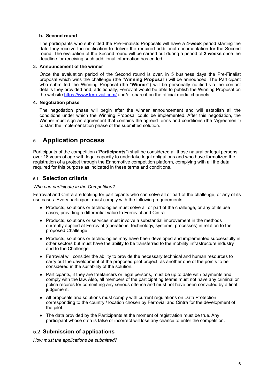#### **b. Second round**

The participants who submitted the Pre-Finalists Proposals will have a **4-week** period starting the date they receive the notification to deliver the required additional documentation for the Second round. The evaluation of the Second round will be carried out during a period of **2 weeks** once the deadline for receiving such additional information has ended.

#### **3. Announcement of the winner**

Once the evaluation period of the Second round is over, in 5 business days the Pre-Finalist proposal which wins the challenge (the "**Winning Proposal**") will be announced. The Participant who submitted the Winning Proposal (the "Winner") will be personally notified via the contact details they provided and, additionally, Ferrovial would be able to publish the Winning Proposal on the website <https://www.ferrovial.com/>and/or share it on the official media channels.

#### **4. Negotiation phase**

The negotiation phase will begin after the winner announcement and will establish all the conditions under which the Winning Proposal could be implemented. After this negotiation, the Winner must sign an agreement that contains the agreed terms and conditions (the "Agreement") to start the implementation phase of the submitted solution.

## <span id="page-6-0"></span>5. **Application process**

Participants of the competition ("**Participants**") shall be considered all those natural or legal persons over 18 years of age with legal capacity to undertake legal obligations and who have formalized the registration of a project through the Ennomotive competition platform, complying with all the data required for this purpose as indicated in these terms and conditions.

#### <span id="page-6-1"></span>5.1. **Selection criteria**

#### *Who can participate in the Competition?*

Ferrovial and Cintra are looking for participants who can solve all or part of the challenge, or any of its use cases. Every participant must comply with the following requirements

- Products, solutions or technologies must solve all or part of the challenge, or any of its use cases, providing a differential value to Ferrovial and Cintra.
- Products, solutions or services must involve a substantial improvement in the methods currently applied at Ferrovial (operations, technology, systems, processes) in relation to the proposed Challenge.
- ! Products, solutions or technologies may have been developed and implemented successfully in other sectors but must have the ability to be transferred to the mobility infrastructure industry and to the Challenge.
- ! Ferrovial will consider the ability to provide the necessary technical and human resources to carry out the development of the proposed pilot project, as another one of the points to be considered in the suitability of the solution.
- ! Participants, if they are freelancers or legal persons, must be up to date with payments and comply with the law. Also, all members of the participating teams must not have any criminal or police records for committing any serious offence and must not have been convicted by a final judgement.
- All proposals and solutions must comply with current regulations on Data Protection corresponding to the country / location chosen by Ferrovial and Cintra for the development of the pilot.
- The data provided by the Participants at the moment of registration must be true. Any participant whose data is false or incorrect will lose any chance to enter the competition.

#### <span id="page-6-2"></span>5.2. **Submission of applications**

*How must the applications be submitted?*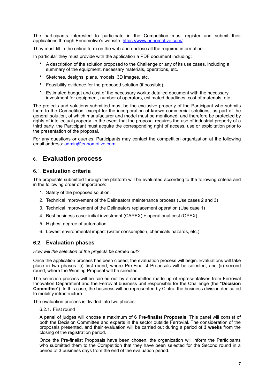The participants interested to participate in the Competition must register and submit their applications through Ennomotive's website: [https://www.ennomotive.com/](https://www.ennomotive.com/road-delineator-maintenance/)

They must fill in the online form on the web and enclose all the required information.

In particular they must provide with the application a PDF document including:

- A description of the solution proposed to the Challenge or any of its use cases, including a summary of the equipment, necessary materials, operations, etc.
- Sketches, designs, plans, models, 3D images, etc.
- Feasibility evidence for the proposed solution (if possible).
- Estimated budget and cost of the necessary works: detailed document with the necessary investment for equipment, number of operators, estimated deadlines, cost of materials, etc.

The projects and solutions submitted must be the exclusive property of the Participant who submits them to the Competition, except for the incorporation of known commercial solutions, as part of the general solution, of which manufacturer and model must be mentioned, and therefore be protected by rights of intellectual property. In the event that the proposal requires the use of industrial property of a third party, the Participant must acquire the corresponding right of access, use or exploitation prior to the presentation of the proposal.

For any questions or queries, Participants may contact the competition organization at the following email address: [admin@ennomotive.com](mailto:admin@ennomotive.com)

## <span id="page-7-0"></span>6. **Evaluation process**

#### <span id="page-7-1"></span>6.1. **Evaluation criteria**

The proposals submitted through the platform will be evaluated according to the following criteria and in the following order of importance:

- 1. Safety of the proposed solution.
- 2. Technical improvement of the Delineators maintenance process (Use cases 2 and 3)
- 3. Technical improvement of the Delineators replacement operation (Use case 1)
- 4. Best business case: initial investment (CAPEX) + operational cost (OPEX).
- 5. Highest degree of automation.
- <span id="page-7-2"></span>6. Lowest environmental impact (water consumption, chemicals hazards, etc.).

#### **6.2. Evaluation phases**

*How will the selection of the projects be carried out?* 

Once the application process has been closed, the evaluation process will begin. Evaluations will take place in two phases: (i) first round, where Pre-Finalist Proposals will be selected, and (ii) second round, where the Winning Proposal will be selected.

The selection process will be carried out by a committee made up of representatives from Ferrovial Innovation Department and the Ferrovial business unit responsible for the Challenge (the "**Decision Committee**"). In this case, the business will be represented by Cintra, the business division dedicated to mobility infrastructure.

The evaluation process is divided into two phases:

<span id="page-7-3"></span>6.2.1. First round

A panel of judges will choose a maximum of **6 Pre-finalist Proposals**. This panel will consist of both the Decision Committee and experts in the sector outside Ferrovial. The consideration of the proposals presented, and their evaluation will be carried out during a period of **3 weeks** from the closing of the registration period.

Once the Pre-finalist Proposals have been chosen, the organization will inform the Participants who submitted them to the Competition that they have been selected for the Second round in a period of 3 business days from the end of the evaluation period.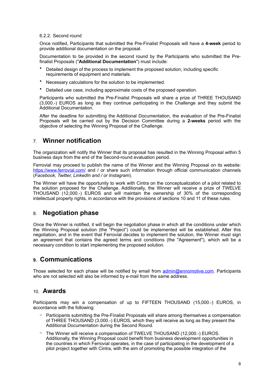#### <span id="page-8-0"></span>6.2.2. Second round

Once notified, Participants that submitted the Pre-Finalist Proposals will have a **4-week** period to provide additional documentation on the proposal.

Documentation to be provided in the second round by the Participants who submitted the Prefinalist Proposals ("**Additional Documentation**") must include:

- Detailed design of the process to implement the proposed solution, including specific requirements of equipment and materials.
- Necessary calculations for the solution to be implemented.
- Detailed use case, including approximate costs of the proposed operation.

Participants who submitted the Pre-Finalist Proposals will share a prize of THREE THOUSAND (3,000.-) EUROS as long as they continue participating in the Challenge and they submit the Additional Documentation.

After the deadline for submitting the Additional Documentation, the evaluation of the Pre-Finalist Proposals will be carried out by the Decision Committee during a **2-weeks** period with the objective of selecting the Winning Proposal of the Challenge.

## <span id="page-8-1"></span>7. **Winner notification**

The organization will notify the Winner that its proposal has resulted in the Winning Proposal within 5 business days from the end of the Second-round evaluation period.

Ferrovial may proceed to publish the name of the Winner and the Winning Proposal on its website: <https://www.ferrovial.com/>and / or share such information through official communication channels (*Facebook, Twitter, LinkedIn and / or Instagram*).

The Winner will have the opportunity to work with Cintra on the conceptualization of a pilot related to the solution proposed for the Challenge. Additionally, the Winner will receive a prize of TWELVE THOUSAND (12,000.-) EUROS and will maintain the ownership of 30% of the corresponding intellectual property rights, in accordance with the provisions of sections 10 and 11 of these rules.

## <span id="page-8-2"></span>8. **Negotiation phase**

Once the Winner is notified, it will begin the negotiation phase in which all the conditions under which the Winning Proposal solution (the "Project") could be implemented will be established. After this negotiation, and in the event that Ferrovial decides to implement the solution, the Winner must sign an agreement that contains the agreed terms and conditions (the "Agreement"), which will be a necessary condition to start implementing the proposed solution.

## <span id="page-8-3"></span>**9. Communications**

Those selected for each phase will be notified by email from [admin@ennomotive.com.](mailto:admin@ennomotive.com) Participants who are not selected will also be informed by e-mail from the same address.

### <span id="page-8-4"></span>10. **Awards**

Participants may win a compensation of up to FIFTEEN THOUSAND (15,000.-) EUROS, in accordance with the following:

- − Participants submitting the Pre-Finalist Proposals will share among themselves a compensation of THREE THOUSAND (3,000.-) EUROS, which they will receive as long as they present the Additional Documentation during the Second Round.
- − The Winner will receive a compensation of TWELVE THOUSAND (12,000.-) EUROS. Additionally, the Winning Proposal could benefit from business development opportunities in the countries in which Ferrovial operates, in the case of participating in the development of a pilot project together with Cintra, with the aim of promoting the possible integration of the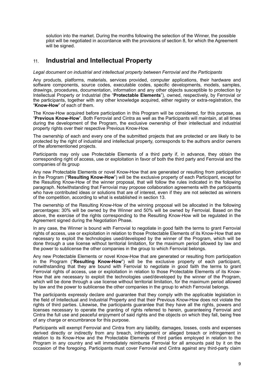solution into the market. During the months following the selection of the Winner, the possible pilot will be negotiated in accordance with the provisions of section 8, for which the Agreement will be signed.

## <span id="page-9-0"></span>11. **Industrial and Intellectual Property**

#### *Legal document on industrial and intellectual property between Ferrovial and the Participants*

Any products, platforms, materials, services provided, computer applications, their hardware and software components, source codes, executable codes, specific developments, models, samples, drawings, procedures, documentation, information and any other objects susceptible to protection by Intellectual Property or Industrial (the "**Protectable Elements**"), owned, respectively, by Ferrovial or the participants, together with any other knowledge acquired, either registry or extra-registration, the "**Know-How**" of each of them.

The Know-How acquired before participation in this Program will be considered, for this purpose, as "**Previous Know-How**". Both Ferrovial and Cintra as well as the Participants will maintain, at all times during the development of the Program, the exclusive ownership of their intellectual and industrial property rights over their respective Previous Know-How.

The ownership of each and every one of the submitted projects that are protected or are likely to be protected by the right of industrial and intellectual property, corresponds to the authors and/or owners of the aforementioned projects.

Participants may only use Protectable Elements of a third party if, in advance, they obtain the corresponding right of access, use or exploitation in favor of both the third party and Ferrovial and the companies of its group

Any new Protectable Elements or novel Know-How that are generated or resulting from participation in the Program ("**Resulting Know-How**") will be the exclusive property of each Participant, except for the Resulting Know-How of the winner proposal, that will follow the rules indicated in the following paragraph. Notwithstanding that Ferrovial may propose collaboration agreements with the participants who have contributed ideas or solutions that are of interest, even if they are not selected as winners of the competition, according to what is established in section 13.

The ownership of the Resulting Know-How of the winning proposal will be allocated in the following percentages: 30% will be owned by the Winner and 50% will be owned by Ferrovial. Based on the above, the exercise of the rights corresponding to the Resulting Know-How will be regulated in the Agreement signed during the Negotiation Phase.

In any case, the Winner is bound with Ferrovial to negotiate in good faith the terms to grant Ferrovial rights of access, use or exploitation in relation to those Protectable Elements of its Know-How that are necessary to exploit the technologies used/developed by the winner of the Program, which will be done through a use license without territorial limitation, for the maximum period allowed by law and the power to sublicense the other companies in the group to which Ferrovial belongs.

Any new Protectable Elements or novel Know-How that are generated or resulting from participation in the Program ("**Resulting Know-How**") will be the exclusive property of each participant, notwithstanding that they are bound with Ferrovial to negotiate in good faith the terms to grant Ferrovial rights of access, use or exploitation in relation to those Protectable Elements of its Know-How that are necessary to exploit the technologies used/developed by the winner of the Program, which will be done through a use license without territorial limitation, for the maximum period allowed by law and the power to sublicense the other companies in the group to which Ferrovial belongs.

The participants expressly declare and guarantee that they comply with the applicable legislation in the field of Intellectual and Industrial Property and that their Previous Know-How does not violate the rights of third parties. Likewise, the participants guarantee that they have all the rights, powers and licenses necessary to operate the granting of rights referred to herein, guaranteeing Ferrovial and Cintra the full use and peaceful enjoyment of said rights and the objects on which they fall, being free of any charge or encumbrance for this purpose.

Participants will exempt Ferrovial and Cintra from any liability, damages, losses, costs and expenses derived directly or indirectly from any breach, infringement or alleged breach or infringement in relation to its Know-How and the Protectable Elements of third parties employed in relation to the Program in any country and will immediately reimburse Ferrovial for all amounts paid by it on the occasion of the foregoing. Participants must cover Ferrovial and Cintra against any third-party claim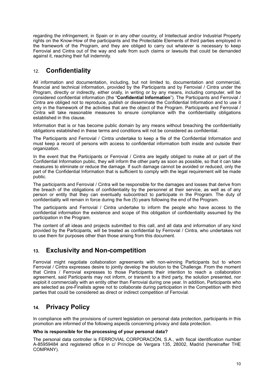regarding the infringement, in Spain or in any other country, of Intellectual and/or Industrial Property rights on the Know-How of the participants and the Protectable Elements of third parties employed in the framework of the Program, and they are obliged to carry out whatever is necessary to keep Ferrovial and Cintra out of the way and safe from such claims or lawsuits that could be demanded against it, reaching their full indemnity.

## <span id="page-10-0"></span>12. **Confidentiality**

All information and documentation, including, but not limited to, documentation and commercial, financial and technical information, provided by the Participants and by Ferrovial / Cintra under the Program, directly or indirectly, either orally, in writing or by any means, including computer, will be considered confidential information (the "**Confidential Information**"). The Participants and Ferrovial / Cintra are obliged not to reproduce, publish or disseminate the Confidential Information and to use it only in the framework of the activities that are the object of the Program. Participants and Ferrovial / Cintra will take reasonable measures to ensure compliance with the confidentiality obligations established in this clause.

Information that is or has become public domain by any means without breaching the confidentiality obligations established in these terms and conditions will not be considered as confidential.

The Participants and Ferrovial / Cintra undertake to keep a file of the Confidential Information and must keep a record of persons with access to confidential information both inside and outside their organization.

In the event that the Participants or Ferrovial / Cintra are legally obliged to make all or part of the Confidential Information public, they will inform the other party as soon as possible, so that it can take measures to eliminate or reduce the damage. If such damage cannot be avoided or reduced, only the part of the Confidential Information that is sufficient to comply with the legal requirement will be made public.

The participants and Ferrovial / Cintra will be responsible for the damages and losses that derive from the breach of the obligations of confidentiality by the personnel at their service, as well as of any person or entity that they can eventually subcontract to participate in the Program. The duty of confidentiality will remain in force during the five (5) years following the end of the Program.

The participants and Ferrovial / Cintra undertake to inform the people who have access to the confidential information the existence and scope of this obligation of confidentiality assumed by the participation in the Program.

The content of all ideas and projects submitted to this call, and all data and information of any kind provided by the Participants, will be treated as confidential by Ferrovial / Cintra, who undertakes not to use them for purposes other than those arising from this document.

## <span id="page-10-1"></span>**13. Exclusivity and Non-competition**

Ferrovial might negotiate collaboration agreements with non-winning Participants but to whom Ferrovial / Cintra expresses desire to jointly develop the solution to the Challenge. From the moment that Cintra / Ferrovial expresses to those Participants their intention to reach a collaboration agreement, said Participants may not inform, or transmit to a third party, the solution presented, nor exploit it commercially with an entity other than Ferrovial during one year. In addition, Participants who are selected as pre-Finalists agree not to collaborate during participation in the Competition with third parties that could be considered as direct or indirect competition of Ferrovial.

## <span id="page-10-2"></span>**14. Privacy Policy**

In compliance with the provisions of current legislation on personal data protection, participants in this promotion are informed of the following aspects concerning privacy and data protection.

#### **Who is responsible for the processing of your personal data?**

The personal data controller is FERROVIAL CORPORACIÓN, S.A., with fiscal identification number A-85959484 and registered office in c/ Príncipe de Vergara 135, 28002, Madrid (hereinafter THE COMPANY).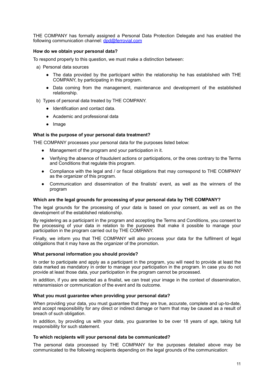THE COMPANY has formally assigned a Personal Data Protection Delegate and has enabled the following communication channel: [dpd@ferrovial.com](mailto:dpd@ferrovial.com)

#### **How do we obtain your personal data?**

To respond properly to this question, we must make a distinction between:

- a) Personal data sources
	- The data provided by the participant within the relationship he has established with THE COMPANY, by participating in this program.
	- Data coming from the management, maintenance and development of the established relationship.
- b) Types of personal data treated by THE COMPANY.
	- Identification and contact data.
	- Academic and professional data
	- Image

#### **What is the purpose of your personal data treatment?**

THE COMPANY processes your personal data for the purposes listed below:

- Management of the program and your participation in it.
- Verifying the absence of fraudulent actions or participations, or the ones contrary to the Terms and Conditions that regulate this program.
- Compliance with the legal and / or fiscal obligations that may correspond to THE COMPANY as the organizer of this program.
- Communication and dissemination of the finalists' event, as well as the winners of the program

#### **Which are the legal grounds for processing of your personal data by THE COMPANY?**

The legal grounds for the processing of your data is based on your consent, as well as on the development of the established relationship.

By registering as a participant in the program and accepting the Terms and Conditions, you consent to the processing of your data in relation to the purposes that make it possible to manage your participation in the program carried out by THE COMPANY.

Finally, we inform you that THE COMPANY will also process your data for the fulfilment of legal obligations that it may have as the organizer of the promotion.

#### **What personal information you should provide?**

In order to participate and apply as a participant in the program, you will need to provide at least the data marked as mandatory in order to manage your participation in the program. In case you do not provide at least those data, your participation in the program cannot be processed.

In addition, if you are selected as a finalist, we can treat your image in the context of dissemination, retransmission or communication of the event and its outcome.

#### **What you must guarantee when providing your personal data?**

When providing your data, you must guarantee that they are true, accurate, complete and up-to-date, and accept responsibility for any direct or indirect damage or harm that may be caused as a result of breach of such obligation.

In addition, by providing us with your data, you guarantee to be over 18 years of age, taking full responsibility for such statement.

#### **To which recipients will your personal data be communicated?**

The personal data processed by THE COMPANY for the purposes detailed above may be communicated to the following recipients depending on the legal grounds of the communication: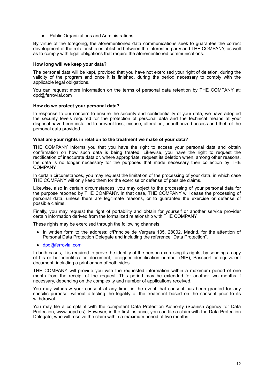● Public Organizations and Administrations.

By virtue of the foregoing, the aforementioned data communications seek to guarantee the correct development of the relationship established between the interested party and THE COMPANY, as well as to comply with legal obligations that require the aforementioned communications.

#### **How long will we keep your data?**

The personal data will be kept, provided that you have not exercised your right of deletion, during the validity of the program and once it is finished, during the period necessary to comply with the applicable legal obligations.

You can request more information on the terms of personal data retention by THE COMPANY at: dpd@ferrovial.com

#### **How do we protect your personal data?**

In response to our concern to ensure the security and confidentiality of your data, we have adopted the security levels required for the protection of personal data and the technical means at your disposal have been installed to prevent loss, misuse, alteration, unauthorized access and theft of the personal data provided.

#### **What are your rights in relation to the treatment we make of your data?**

THE COMPANY informs you that you have the right to access your personal data and obtain confirmation on how such data is being treated. Likewise, you have the right to request the rectification of inaccurate data or, where appropriate, request its deletion when, among other reasons, the data is no longer necessary for the purposes that made necessary their collection by THE COMPANY.

In certain circumstances, you may request the limitation of the processing of your data, in which case THE COMPANY will only keep them for the exercise or defense of possible claims.

Likewise, also in certain circumstances, you may object to the processing of your personal data for the purpose reported by THE COMPANY. In that case, THE COMPANY will cease the processing of personal data, unless there are legitimate reasons, or to guarantee the exercise or defense of possible claims.

Finally, you may request the right of portability and obtain for yourself or another service provider certain information derived from the formalized relationship with THE COMPANY.

These rights may be exercised through the following channels:

- In written form to the address: c/Principe de Vergara 135, 28002, Madrid, for the attention of Personal Data Protection Delegate and including the reference "Data Protection".
- [dpd@ferrovial.com](mailto:dpd@ferrovial.com)

In both cases, it is required to prove the identity of the person exercising its rights, by sending a copy of his or her identification document, foreigner identification number (NIE), Passport or equivalent document, including a print or san of both sides.

THE COMPANY will provide you with the requested information within a maximum period of one month from the receipt of the request. This period may be extended for another two months if necessary, depending on the complexity and number of applications received.

You may withdraw your consent at any time, in the event that consent has been granted for any specific purpose, without affecting the legality of the treatment based on the consent prior to its withdrawal.

You may file a complaint with the competent Data Protection Authority (Spanish Agency for Data Protection, www.aepd.es). However, in the first instance, you can file a claim with the Data Protection Delegate, who will resolve the claim within a maximum period of two months.